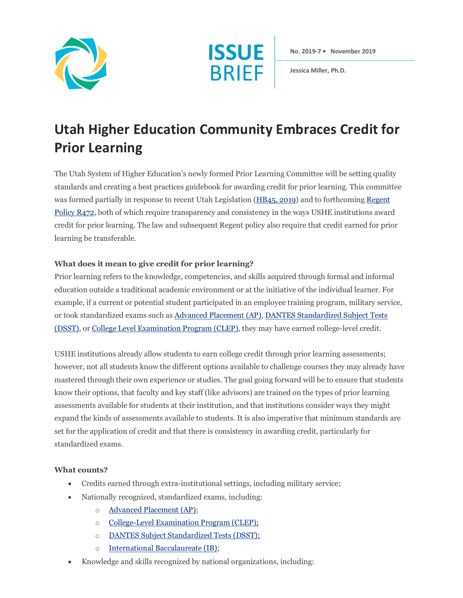



**No. 2019-7 • November 2019**

**Jessica Miller, Ph.D.**

# **Utah Higher Education Community Embraces Credit for Prior Learning**

The Utah System of Higher Education's newly formed Prior Learning Committee will be setting quality standards and creating a best practices guidebook for awarding credit for prior learning. This committee was formed partially in response to recent Utah Legislation (HB45, 2019) and to forthcoming Regent Policy R472, both of which require transparency and consistency in the ways USHE institutions award credit for prior learning. The law and subsequent Regent policy also require that credit earned for prior learning be transferable.

### **What does it mean to give credit for prior learning?**

Prior learning refers to the knowledge, competencies, and skills acquired through formal and informal education outside a traditional academic environment or at the initiative of the individual learner. For example, if a current or potential student participated in an employee training program, military service, or took standardized exams such as Advanced Placement (AP), DANTES Standardized Subject Tests (DSST), or College Level Examination Program (CLEP), they may have earned college-level credit.

USHE institutions already allow students to earn college credit through prior learning assessments; however, not all students know the different options available to challenge courses they may already have mastered through their own experience or studies. The goal going forward will be to ensure that students know their options, that faculty and key staff (like advisors) are trained on the types of prior learning assessments available for students at their institution, and that institutions consider ways they might expand the kinds of assessments available to students. It is also imperative that minimum standards are set for the application of credit and that there is consistency in awarding credit, particularly for standardized exams.

#### **What counts?**

- Credits earned through extra-institutional settings, including military service;
- Nationally recognized, standardized exams, including:
	- o Advanced Placement (AP);
	- o College-Level Examination Program (CLEP);
	- o DANTES Subject Standardized Tests (DSST);
	- o International Baccalaureate (IB);
- Knowledge and skills recognized by national organizations, including: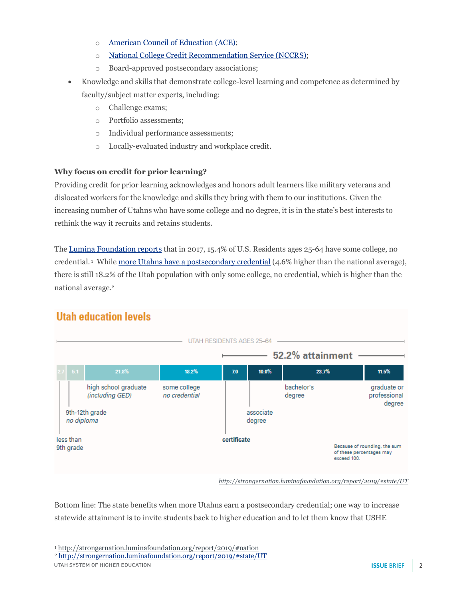- o American Council of Education (ACE);
- o National College Credit Recommendation Service (NCCRS);
- o Board-approved postsecondary associations;
- Knowledge and skills that demonstrate college-level learning and competence as determined by faculty/subject matter experts, including:
	- o Challenge exams;
	- o Portfolio assessments;
	- o Individual performance assessments;
	- o Locally-evaluated industry and workplace credit.

## **Why focus on credit for prior learning?**

Providing credit for prior learning acknowledges and honors adult learners like military veterans and dislocated workers for the knowledge and skills they bring with them to our institutions. Given the increasing number of Utahns who have some college and no degree, it is in the state's best interests to rethink the way it recruits and retains students.

The Lumina Foundation reports that in 2017, 15.4% of U.S. Residents ages 25-64 have some college, no credential.<sup>1</sup> While more Utahns have a postsecondary credential (4.6% higher than the national average), there is still 18.2% of the Utah population with only some college, no credential, which is higher than the national average.2



# **Utah education levels**

*http://strongernation.luminafoundation.org/report/2019/#state/UT*

Bottom line: The state benefits when more Utahns earn a postsecondary credential; one way to increase statewide attainment is to invite students back to higher education and to let them know that USHE

<sup>2</sup> http://strongernation.luminafoundation.org/report/2019/#state/UT

UTAH SYSTEM OF HIGHER EDUCATION

 $\overline{a}$ <sup>1</sup> http://strongernation.luminafoundation.org/report/2019/#nation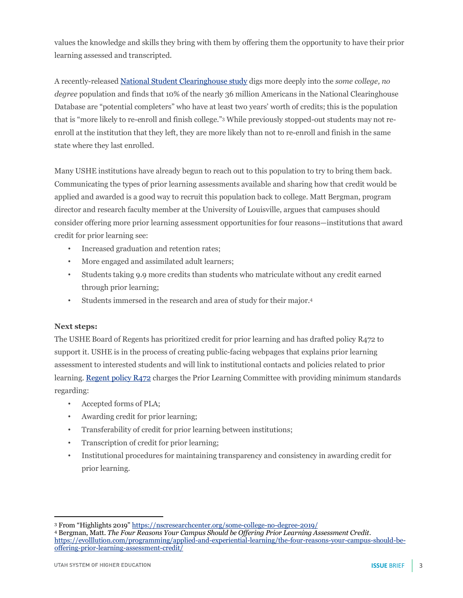values the knowledge and skills they bring with them by offering them the opportunity to have their prior learning assessed and transcripted.

A recently-released National Student Clearinghouse study digs more deeply into the *some college, no degree* population and finds that 10% of the nearly 36 million Americans in the National Clearinghouse Database are "potential completers" who have at least two years' worth of credits; this is the population that is "more likely to re-enroll and finish college."3 While previously stopped-out students may not reenroll at the institution that they left, they are more likely than not to re-enroll and finish in the same state where they last enrolled.

Many USHE institutions have already begun to reach out to this population to try to bring them back. Communicating the types of prior learning assessments available and sharing how that credit would be applied and awarded is a good way to recruit this population back to college. Matt Bergman, program director and research faculty member at the University of Louisville, argues that campuses should consider offering more prior learning assessment opportunities for four reasons—institutions that award credit for prior learning see:

- Increased graduation and retention rates;
- More engaged and assimilated adult learners;
- Students taking 9.9 more credits than students who matriculate without any credit earned through prior learning;
- Students immersed in the research and area of study for their major.4

#### **Next steps:**

The USHE Board of Regents has prioritized credit for prior learning and has drafted policy R472 to support it. USHE is in the process of creating public-facing webpages that explains prior learning assessment to interested students and will link to institutional contacts and policies related to prior learning. Regent policy R472 charges the Prior Learning Committee with providing minimum standards regarding:

- Accepted forms of PLA;
- Awarding credit for prior learning;
- Transferability of credit for prior learning between institutions;
- Transcription of credit for prior learning;
- Institutional procedures for maintaining transparency and consistency in awarding credit for prior learning.

 $\overline{a}$ 

<sup>3</sup> From "Highlights 2019" https://nscresearchcenter.org/some-college-no-degree-2019/

<sup>4</sup> Bergman, Matt. *The Four Reasons Your Campus Should be Offering Prior Learning Assessment Credit*. https://evolllution.com/programming/applied-and-experiential-learning/the-four-reasons-your-campus-should-beoffering-prior-learning-assessment-credit/